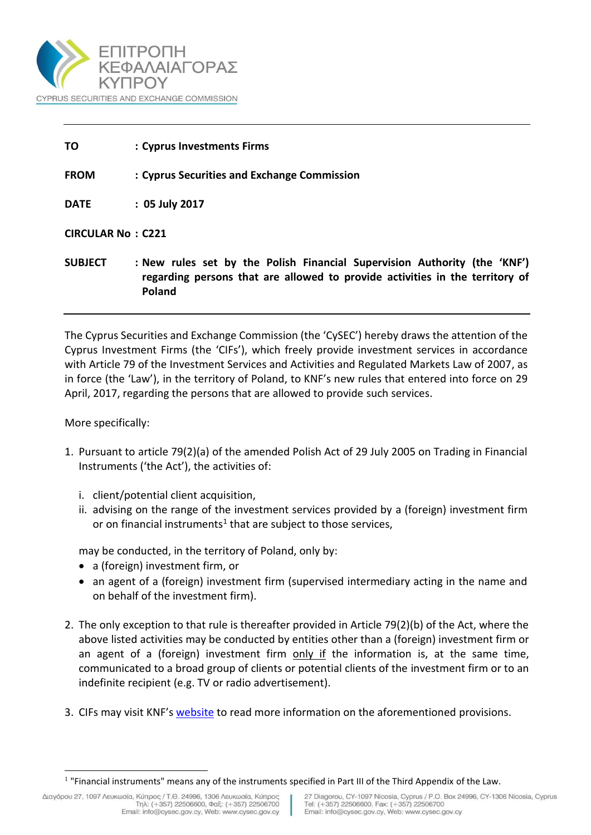

| ΤO                       | : Cyprus Investments Firms                                                                                                                                |
|--------------------------|-----------------------------------------------------------------------------------------------------------------------------------------------------------|
| <b>FROM</b>              | : Cyprus Securities and Exchange Commission                                                                                                               |
| <b>DATE</b>              | $: 05$ July 2017                                                                                                                                          |
| <b>CIRCULAR No: C221</b> |                                                                                                                                                           |
| <b>SUBJECT</b>           | : New rules set by the Polish Financial Supervision Authority (the 'KNF')<br>regarding persons that are allowed to provide activities in the territory of |

The Cyprus Securities and Exchange Commission (the 'CySEC') hereby draws the attention of the Cyprus Investment Firms (the 'CIFs'), which freely provide investment services in accordance with Article 79 of the Investment Services and Activities and Regulated Markets Law of 2007, as in force (the 'Law'), in the territory of Poland, to KNF's new rules that entered into force on 29 April, 2017, regarding the persons that are allowed to provide such services.

More specifically:

l

- 1. Pursuant to article 79(2)(a) of the amended Polish Act of 29 July 2005 on Trading in Financial Instruments ('the Act'), the activities of:
	- i. client/potential client acquisition,

**Poland**

ii. advising on the range of the investment services provided by a (foreign) investment firm or on financial instruments<sup>1</sup> that are subject to those services,

may be conducted, in the territory of Poland, only by:

- a (foreign) investment firm, or
- an agent of a (foreign) investment firm (supervised intermediary acting in the name and on behalf of the investment firm).
- 2. The only exception to that rule is thereafter provided in Article 79(2)(b) of the Act, where the above listed activities may be conducted by entities other than a (foreign) investment firm or an agent of a (foreign) investment firm only if the information is, at the same time, communicated to a broad group of clients or potential clients of the investment firm or to an indefinite recipient (e.g. TV or radio advertisement).
- 3. CIFs may visit KNF's [website](https://www.knf.gov.pl/index.html) to read [more information on the aforementioned](http://www.amf-france.org/en_US/Reglementation/Reglement-general-et-instructions/RG-mode-d-emploi.htm) provisions.

<sup>&</sup>lt;sup>1</sup> "Financial instruments" means any of the instruments specified in Part III of the Third Appendix of the Law.